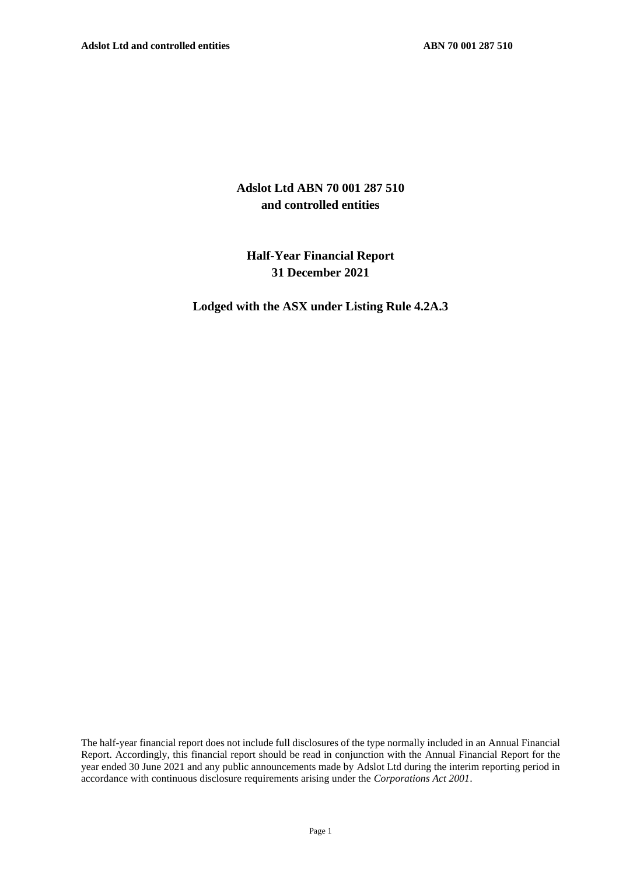## **Adslot Ltd ABN 70 001 287 510 and controlled entities**

## **Half-Year Financial Report 31 December 2021**

**Lodged with the ASX under Listing Rule 4.2A.3**

The half-year financial report does not include full disclosures of the type normally included in an Annual Financial Report. Accordingly, this financial report should be read in conjunction with the Annual Financial Report for the year ended 30 June 2021 and any public announcements made by Adslot Ltd during the interim reporting period in accordance with continuous disclosure requirements arising under the *Corporations Act 2001*.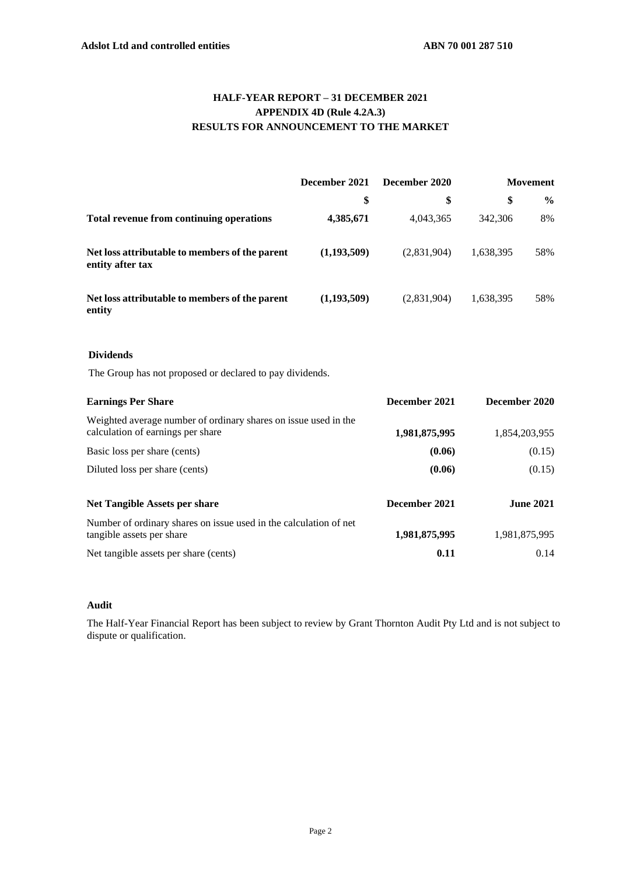## **HALF-YEAR REPORT – 31 DECEMBER 2021 APPENDIX 4D (Rule 4.2A.3) RESULTS FOR ANNOUNCEMENT TO THE MARKET**

|                                                                                                      | December 2021 | December 2020 |               | <b>Movement</b> |  |
|------------------------------------------------------------------------------------------------------|---------------|---------------|---------------|-----------------|--|
|                                                                                                      | \$            | \$            | \$            | $\frac{6}{6}$   |  |
| <b>Total revenue from continuing operations</b>                                                      | 4,385,671     | 4,043,365     | 342,306       | 8%              |  |
| Net loss attributable to members of the parent<br>entity after tax                                   | (1,193,509)   | (2,831,904)   | 1,638,395     | 58%             |  |
| Net loss attributable to members of the parent<br>entity                                             | (1,193,509)   | (2,831,904)   | 1,638,395     | 58%             |  |
| <b>Dividends</b>                                                                                     |               |               |               |                 |  |
| The Group has not proposed or declared to pay dividends.                                             |               |               |               |                 |  |
| <b>Earnings Per Share</b>                                                                            |               | December 2021 | December 2020 |                 |  |
| Weighted average number of ordinary shares on issue used in the<br>calculation of earnings per share |               | 1,981,875,995 |               | 1,854,203,955   |  |

| Diluted loss per share (cents)                                                                 | (0.06)        | (0.15)           |
|------------------------------------------------------------------------------------------------|---------------|------------------|
| Net Tangible Assets per share                                                                  | December 2021 | <b>June 2021</b> |
| Number of ordinary shares on issue used in the calculation of net<br>tangible assets per share | 1,981,875,995 | 1,981,875,995    |
| Net tangible assets per share (cents)                                                          | 0.11          | 0.14             |

Basic loss per share (cents) **(0.06)** (0.15)

#### **Audit**

The Half-Year Financial Report has been subject to review by Grant Thornton Audit Pty Ltd and is not subject to dispute or qualification.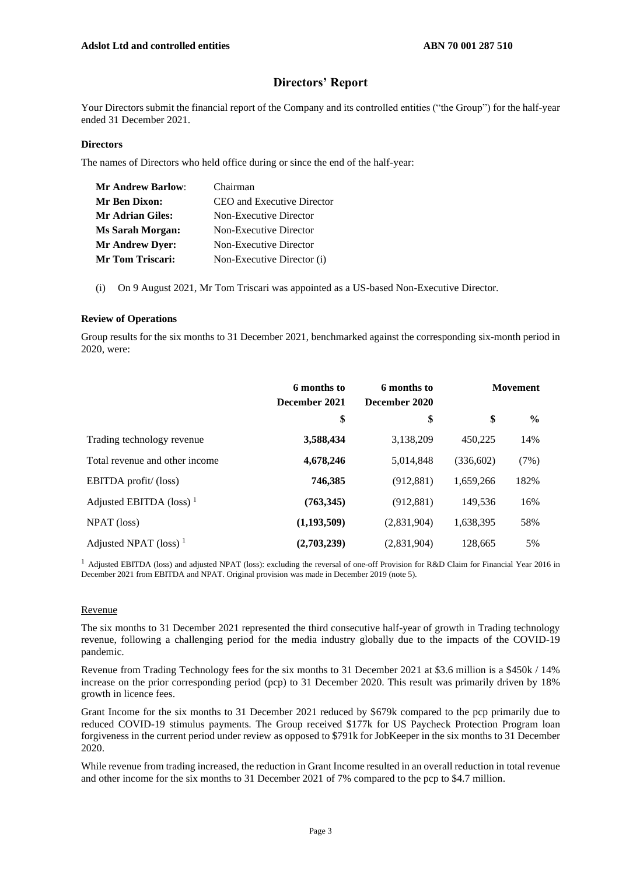## **Directors' Report**

Your Directors submit the financial report of the Company and its controlled entities ("the Group") for the half-year ended 31 December 2021.

#### **Directors**

The names of Directors who held office during or since the end of the half-year:

| <b>Mr Andrew Barlow:</b> | Chairman                   |
|--------------------------|----------------------------|
| <b>Mr Ben Dixon:</b>     | CEO and Executive Director |
| Mr Adrian Giles:         | Non-Executive Director     |
| <b>Ms Sarah Morgan:</b>  | Non-Executive Director     |
| <b>Mr Andrew Dyer:</b>   | Non-Executive Director     |
| <b>Mr Tom Triscari:</b>  | Non-Executive Director (i) |

(i) On 9 August 2021, Mr Tom Triscari was appointed as a US-based Non-Executive Director.

#### **Review of Operations**

Group results for the six months to 31 December 2021, benchmarked against the corresponding six-month period in 2020, were:

|                                     | 6 months to<br>6 months to<br>December 2021<br>December 2020 |             |           | <b>Movement</b> |  |
|-------------------------------------|--------------------------------------------------------------|-------------|-----------|-----------------|--|
|                                     | \$                                                           | \$          | \$        | $\frac{0}{0}$   |  |
| Trading technology revenue          | 3,588,434                                                    | 3,138,209   | 450,225   | 14%             |  |
| Total revenue and other income      | 4,678,246                                                    | 5,014,848   | (336,602) | (7%)            |  |
| EBITDA profit/ (loss)               | 746,385                                                      | (912, 881)  | 1.659.266 | 182%            |  |
| Adjusted EBITDA (loss) <sup>1</sup> | (763,345)                                                    | (912, 881)  | 149,536   | 16%             |  |
| NPAT (loss)                         | (1,193,509)                                                  | (2,831,904) | 1,638,395 | 58%             |  |
| Adjusted NPAT (loss) <sup>1</sup>   | (2,703,239)                                                  | (2,831,904) | 128,665   | 5%              |  |

<sup>1</sup> Adjusted EBITDA (loss) and adjusted NPAT (loss): excluding the reversal of one-off Provision for R&D Claim for Financial Year 2016 in December 2021 from EBITDA and NPAT. Original provision was made in December 2019 (note 5).

#### Revenue

The six months to 31 December 2021 represented the third consecutive half-year of growth in Trading technology revenue, following a challenging period for the media industry globally due to the impacts of the COVID-19 pandemic.

Revenue from Trading Technology fees for the six months to 31 December 2021 at \$3.6 million is a \$450k / 14% increase on the prior corresponding period (pcp) to 31 December 2020. This result was primarily driven by 18% growth in licence fees.

Grant Income for the six months to 31 December 2021 reduced by \$679k compared to the pcp primarily due to reduced COVID-19 stimulus payments. The Group received \$177k for US Paycheck Protection Program loan forgiveness in the current period under review as opposed to \$791k for JobKeeper in the six months to 31 December 2020.

While revenue from trading increased, the reduction in Grant Income resulted in an overall reduction in total revenue and other income for the six months to 31 December 2021 of 7% compared to the pcp to \$4.7 million.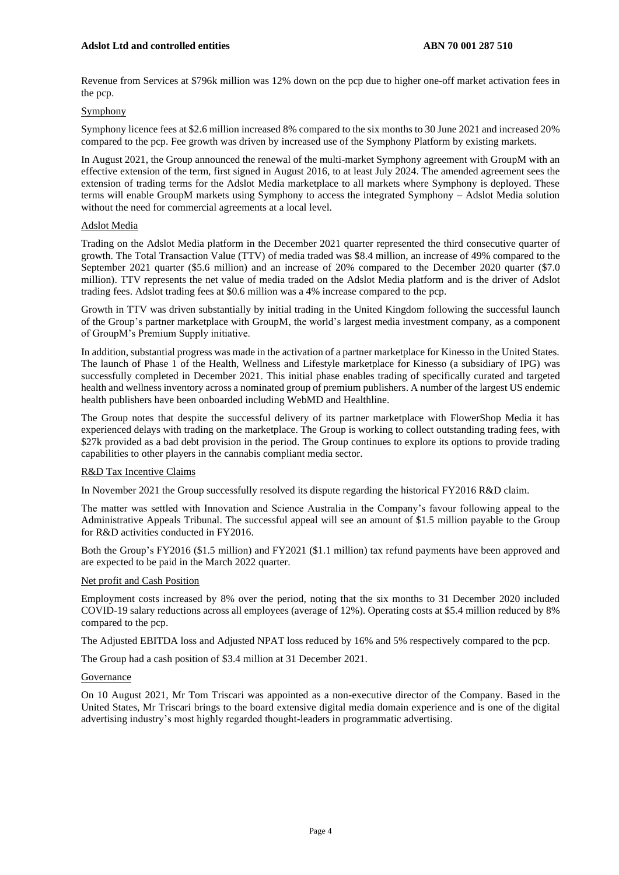Revenue from Services at \$796k million was 12% down on the pcp due to higher one-off market activation fees in the pcp.

#### Symphony

Symphony licence fees at \$2.6 million increased 8% compared to the six months to 30 June 2021 and increased 20% compared to the pcp. Fee growth was driven by increased use of the Symphony Platform by existing markets.

In August 2021, the Group announced the renewal of the multi-market Symphony agreement with GroupM with an effective extension of the term, first signed in August 2016, to at least July 2024. The amended agreement sees the extension of trading terms for the Adslot Media marketplace to all markets where Symphony is deployed. These terms will enable GroupM markets using Symphony to access the integrated Symphony – Adslot Media solution without the need for commercial agreements at a local level.

#### Adslot Media

Trading on the Adslot Media platform in the December 2021 quarter represented the third consecutive quarter of growth. The Total Transaction Value (TTV) of media traded was \$8.4 million, an increase of 49% compared to the September 2021 quarter (\$5.6 million) and an increase of 20% compared to the December 2020 quarter (\$7.0 million). TTV represents the net value of media traded on the Adslot Media platform and is the driver of Adslot trading fees. Adslot trading fees at \$0.6 million was a 4% increase compared to the pcp.

Growth in TTV was driven substantially by initial trading in the United Kingdom following the successful launch of the Group's partner marketplace with GroupM, the world's largest media investment company, as a component of GroupM's Premium Supply initiative.

In addition, substantial progress was made in the activation of a partner marketplace for Kinesso in the United States. The launch of Phase 1 of the Health, Wellness and Lifestyle marketplace for Kinesso (a subsidiary of IPG) was successfully completed in December 2021. This initial phase enables trading of specifically curated and targeted health and wellness inventory across a nominated group of premium publishers. A number of the largest US endemic health publishers have been onboarded including WebMD and Healthline.

The Group notes that despite the successful delivery of its partner marketplace with FlowerShop Media it has experienced delays with trading on the marketplace. The Group is working to collect outstanding trading fees, with \$27k provided as a bad debt provision in the period. The Group continues to explore its options to provide trading capabilities to other players in the cannabis compliant media sector.

#### R&D Tax Incentive Claims

In November 2021 the Group successfully resolved its dispute regarding the historical FY2016 R&D claim.

The matter was settled with Innovation and Science Australia in the Company's favour following appeal to the Administrative Appeals Tribunal. The successful appeal will see an amount of \$1.5 million payable to the Group for R&D activities conducted in FY2016.

Both the Group's FY2016 (\$1.5 million) and FY2021 (\$1.1 million) tax refund payments have been approved and are expected to be paid in the March 2022 quarter.

#### Net profit and Cash Position

Employment costs increased by 8% over the period, noting that the six months to 31 December 2020 included COVID-19 salary reductions across all employees (average of 12%). Operating costs at \$5.4 million reduced by 8% compared to the pcp.

The Adjusted EBITDA loss and Adjusted NPAT loss reduced by 16% and 5% respectively compared to the pcp.

The Group had a cash position of \$3.4 million at 31 December 2021.

#### **Governance**

On 10 August 2021, Mr Tom Triscari was appointed as a non-executive director of the Company. Based in the United States, Mr Triscari brings to the board extensive digital media domain experience and is one of the digital advertising industry's most highly regarded thought-leaders in programmatic advertising.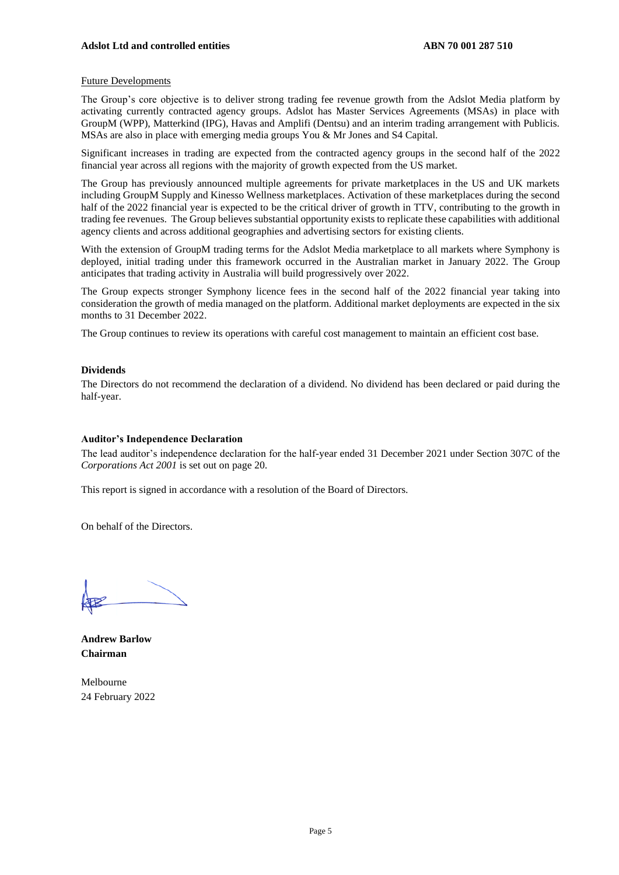#### Future Developments

The Group's core objective is to deliver strong trading fee revenue growth from the Adslot Media platform by activating currently contracted agency groups. Adslot has Master Services Agreements (MSAs) in place with GroupM (WPP), Matterkind (IPG), Havas and Amplifi (Dentsu) and an interim trading arrangement with Publicis. MSAs are also in place with emerging media groups You & Mr Jones and S4 Capital.

Significant increases in trading are expected from the contracted agency groups in the second half of the 2022 financial year across all regions with the majority of growth expected from the US market.

The Group has previously announced multiple agreements for private marketplaces in the US and UK markets including GroupM Supply and Kinesso Wellness marketplaces. Activation of these marketplaces during the second half of the 2022 financial year is expected to be the critical driver of growth in TTV, contributing to the growth in trading fee revenues. The Group believes substantial opportunity exists to replicate these capabilities with additional agency clients and across additional geographies and advertising sectors for existing clients.

With the extension of GroupM trading terms for the Adslot Media marketplace to all markets where Symphony is deployed, initial trading under this framework occurred in the Australian market in January 2022. The Group anticipates that trading activity in Australia will build progressively over 2022.

The Group expects stronger Symphony licence fees in the second half of the 2022 financial year taking into consideration the growth of media managed on the platform. Additional market deployments are expected in the six months to 31 December 2022.

The Group continues to review its operations with careful cost management to maintain an efficient cost base.

#### **Dividends**

The Directors do not recommend the declaration of a dividend. No dividend has been declared or paid during the half-year.

#### **Auditor's Independence Declaration**

The lead auditor's independence declaration for the half-year ended 31 December 2021 under Section 307C of the *Corporations Act 2001* is set out on page 20.

This report is signed in accordance with a resolution of the Board of Directors.

On behalf of the Directors.

**Andrew Barlow Chairman**

Melbourne 24 February 2022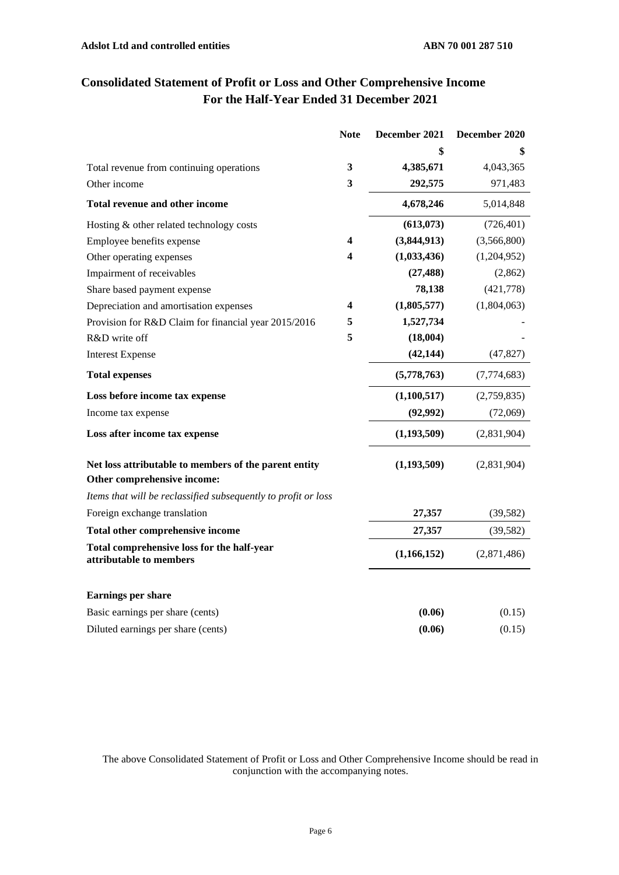|                                                                                      | <b>Note</b>             | December 2021 | December 2020 |
|--------------------------------------------------------------------------------------|-------------------------|---------------|---------------|
|                                                                                      |                         |               | \$            |
| Total revenue from continuing operations                                             | 3                       | 4,385,671     | 4,043,365     |
| Other income                                                                         | 3                       | 292,575       | 971,483       |
| Total revenue and other income                                                       |                         | 4,678,246     | 5,014,848     |
| Hosting & other related technology costs                                             |                         | (613,073)     | (726, 401)    |
| Employee benefits expense                                                            | 4                       | (3,844,913)   | (3,566,800)   |
| Other operating expenses                                                             | $\overline{\mathbf{4}}$ | (1,033,436)   | (1,204,952)   |
| Impairment of receivables                                                            |                         | (27, 488)     | (2,862)       |
| Share based payment expense                                                          |                         | 78,138        | (421,778)     |
| Depreciation and amortisation expenses                                               | 4                       | (1,805,577)   | (1,804,063)   |
| Provision for R&D Claim for financial year 2015/2016                                 | 5                       | 1,527,734     |               |
| R&D write off                                                                        | 5                       | (18,004)      |               |
| <b>Interest Expense</b>                                                              |                         | (42, 144)     | (47, 827)     |
| <b>Total expenses</b>                                                                |                         | (5,778,763)   | (7,774,683)   |
| Loss before income tax expense                                                       |                         | (1,100,517)   | (2,759,835)   |
| Income tax expense                                                                   |                         | (92, 992)     | (72,069)      |
| Loss after income tax expense                                                        |                         | (1, 193, 509) | (2,831,904)   |
| Net loss attributable to members of the parent entity<br>Other comprehensive income: |                         | (1, 193, 509) | (2,831,904)   |
| Items that will be reclassified subsequently to profit or loss                       |                         |               |               |
| Foreign exchange translation                                                         |                         | 27,357        | (39, 582)     |
| Total other comprehensive income                                                     |                         | 27,357        | (39, 582)     |
| Total comprehensive loss for the half-year<br>attributable to members                |                         | (1,166,152)   | (2,871,486)   |
| <b>Earnings per share</b>                                                            |                         |               |               |
| Basic earnings per share (cents)                                                     |                         | (0.06)        | (0.15)        |
| Diluted earnings per share (cents)                                                   |                         | (0.06)        | (0.15)        |

# **Consolidated Statement of Profit or Loss and Other Comprehensive Income For the Half-Year Ended 31 December 2021**

The above Consolidated Statement of Profit or Loss and Other Comprehensive Income should be read in conjunction with the accompanying notes.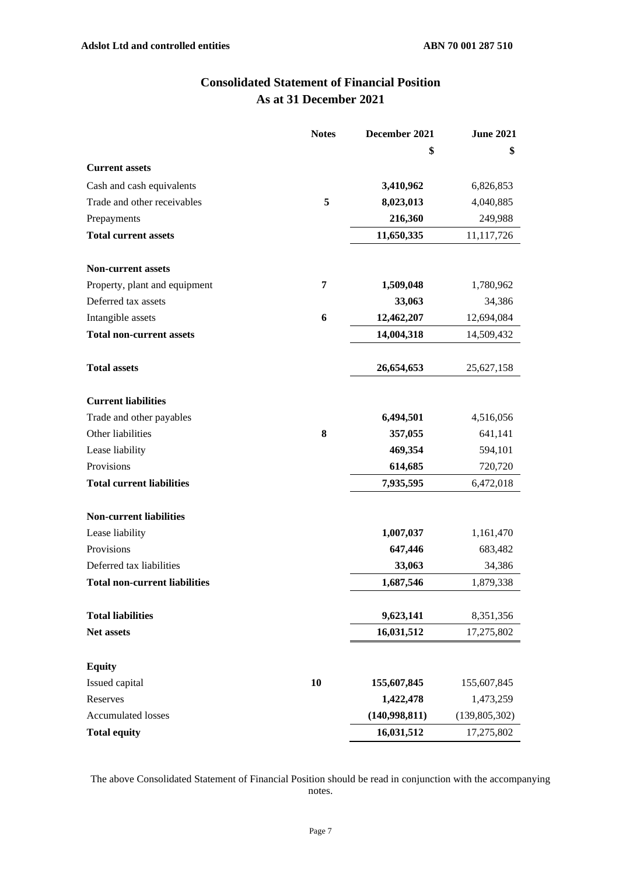## **Consolidated Statement of Financial Position As at 31 December 2021**

|                                      | <b>Notes</b> | December 2021 | <b>June 2021</b> |
|--------------------------------------|--------------|---------------|------------------|
|                                      |              | \$            | \$               |
| <b>Current assets</b>                |              |               |                  |
| Cash and cash equivalents            |              | 3,410,962     | 6,826,853        |
| Trade and other receivables          | 5            | 8,023,013     | 4,040,885        |
| Prepayments                          |              | 216,360       | 249,988          |
| <b>Total current assets</b>          |              | 11,650,335    | 11,117,726       |
| <b>Non-current assets</b>            |              |               |                  |
| Property, plant and equipment        | 7            | 1,509,048     | 1,780,962        |
| Deferred tax assets                  |              | 33,063        | 34,386           |
| Intangible assets                    | 6            | 12,462,207    | 12,694,084       |
| <b>Total non-current assets</b>      |              | 14,004,318    | 14,509,432       |
| <b>Total assets</b>                  |              | 26,654,653    | 25,627,158       |
| <b>Current liabilities</b>           |              |               |                  |
| Trade and other payables             |              | 6,494,501     | 4,516,056        |
| Other liabilities                    | 8            | 357,055       | 641,141          |
| Lease liability                      |              | 469,354       | 594,101          |
| Provisions                           |              | 614,685       | 720,720          |
| <b>Total current liabilities</b>     |              | 7,935,595     | 6,472,018        |
| <b>Non-current liabilities</b>       |              |               |                  |
| Lease liability                      |              | 1,007,037     | 1,161,470        |
| Provisions                           |              | 647,446       | 683,482          |
| Deferred tax liabilities             |              | 33,063        | 34,386           |
| <b>Total non-current liabilities</b> |              | 1,687,546     | 1,879,338        |
| <b>Total liabilities</b>             |              | 9,623,141     | 8,351,356        |
| Net assets                           |              | 16,031,512    | 17,275,802       |
|                                      |              |               |                  |
| <b>Equity</b>                        |              |               |                  |
| Issued capital                       | 10           | 155,607,845   | 155,607,845      |
| Reserves                             |              | 1,422,478     | 1,473,259        |
| <b>Accumulated losses</b>            |              | (140,998,811) | (139, 805, 302)  |
| <b>Total equity</b>                  |              | 16,031,512    | 17,275,802       |

The above Consolidated Statement of Financial Position should be read in conjunction with the accompanying notes.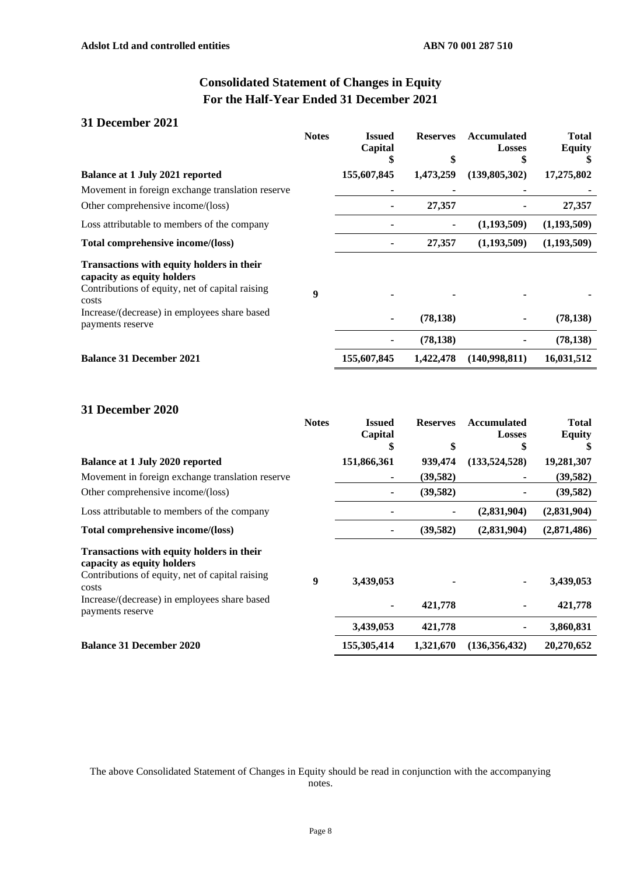# **Consolidated Statement of Changes in Equity For the Half-Year Ended 31 December 2021**

## **31 December 2021**

|                                                                                                                            | <b>Notes</b> | <b>Issued</b><br>Capital | <b>Reserves</b> | <b>Accumulated</b><br><b>Losses</b><br>\$ | <b>Total</b><br><b>Equity</b> |
|----------------------------------------------------------------------------------------------------------------------------|--------------|--------------------------|-----------------|-------------------------------------------|-------------------------------|
| <b>Balance at 1 July 2021 reported</b>                                                                                     |              | 155,607,845              | 1,473,259       | (139,805,302)                             | 17,275,802                    |
| Movement in foreign exchange translation reserve                                                                           |              |                          |                 |                                           |                               |
| Other comprehensive income/(loss)                                                                                          |              |                          | 27,357          |                                           | 27,357                        |
| Loss attributable to members of the company                                                                                |              |                          |                 | (1,193,509)                               | (1,193,509)                   |
| Total comprehensive income/(loss)                                                                                          |              |                          | 27,357          | (1,193,509)                               | (1,193,509)                   |
| Transactions with equity holders in their<br>capacity as equity holders<br>Contributions of equity, net of capital raising | 9            |                          |                 |                                           |                               |
| costs<br>Increase/(decrease) in employees share based<br>payments reserve                                                  |              |                          | (78, 138)       |                                           | (78, 138)                     |
|                                                                                                                            |              |                          | (78, 138)       |                                           | (78, 138)                     |
| <b>Balance 31 December 2021</b>                                                                                            |              | 155,607,845              | 1,422,478       | (140,998,811)                             | 16,031,512                    |

## **31 December 2020**

|                                                                         | <b>Notes</b> | <b>Issued</b><br>Capital | <b>Reserves</b> | <b>Accumulated</b><br>Losses | <b>Total</b><br><b>Equity</b> |
|-------------------------------------------------------------------------|--------------|--------------------------|-----------------|------------------------------|-------------------------------|
|                                                                         |              | \$                       | \$              | \$                           |                               |
| <b>Balance at 1 July 2020 reported</b>                                  |              | 151,866,361              | 939,474         | (133, 524, 528)              | 19,281,307                    |
| Movement in foreign exchange translation reserve                        |              |                          | (39, 582)       |                              | (39, 582)                     |
| Other comprehensive income/(loss)                                       |              |                          | (39,582)        |                              | (39, 582)                     |
| Loss attributable to members of the company                             |              |                          | ۰               | (2,831,904)                  | (2,831,904)                   |
| Total comprehensive income/(loss)                                       |              |                          | (39, 582)       | (2,831,904)                  | (2,871,486)                   |
| Transactions with equity holders in their<br>capacity as equity holders |              |                          |                 |                              |                               |
| Contributions of equity, net of capital raising<br>costs                | 9            | 3,439,053                |                 | ۰                            | 3,439,053                     |
| Increase/(decrease) in employees share based<br>payments reserve        |              |                          | 421,778         |                              | 421,778                       |
|                                                                         |              | 3,439,053                | 421,778         |                              | 3,860,831                     |
| <b>Balance 31 December 2020</b>                                         |              | 155,305,414              | 1,321,670       | (136, 356, 432)              | 20,270,652                    |

The above Consolidated Statement of Changes in Equity should be read in conjunction with the accompanying notes.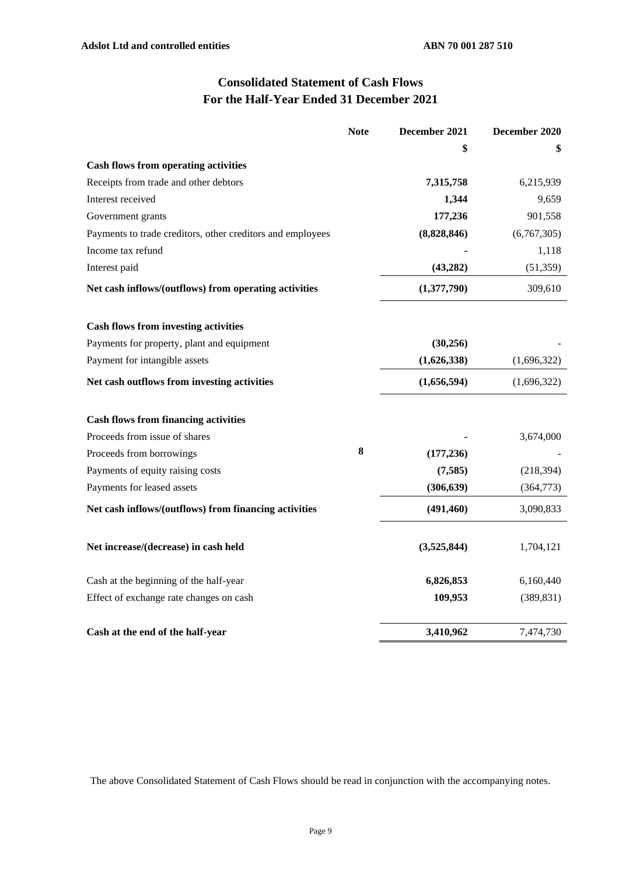# **Consolidated Statement of Cash Flows For the Half-Year Ended 31 December 2021**

|                                                            | <b>Note</b> | December 2021 | December 2020 |
|------------------------------------------------------------|-------------|---------------|---------------|
|                                                            |             | \$            |               |
| <b>Cash flows from operating activities</b>                |             |               |               |
| Receipts from trade and other debtors                      |             | 7,315,758     | 6,215,939     |
| Interest received                                          |             | 1,344         | 9,659         |
| Government grants                                          |             | 177,236       | 901,558       |
| Payments to trade creditors, other creditors and employees |             | (8,828,846)   | (6,767,305)   |
| Income tax refund                                          |             |               | 1,118         |
| Interest paid                                              |             | (43, 282)     | (51, 359)     |
| Net cash inflows/(outflows) from operating activities      |             | (1,377,790)   | 309,610       |
| <b>Cash flows from investing activities</b>                |             |               |               |
| Payments for property, plant and equipment                 |             | (30, 256)     |               |
| Payment for intangible assets                              |             | (1,626,338)   | (1,696,322)   |
| Net cash outflows from investing activities                |             | (1,656,594)   | (1,696,322)   |
| <b>Cash flows from financing activities</b>                |             |               |               |
| Proceeds from issue of shares                              |             |               | 3,674,000     |
| Proceeds from borrowings                                   | 8           | (177, 236)    |               |
| Payments of equity raising costs                           |             | (7, 585)      | (218, 394)    |
| Payments for leased assets                                 |             | (306, 639)    | (364, 773)    |
| Net cash inflows/(outflows) from financing activities      |             | (491, 460)    | 3,090,833     |
| Net increase/(decrease) in cash held                       |             | (3,525,844)   | 1,704,121     |
| Cash at the beginning of the half-year                     |             | 6,826,853     | 6,160,440     |
| Effect of exchange rate changes on cash                    |             | 109,953       | (389, 831)    |
| Cash at the end of the half-year                           |             | 3,410,962     | 7,474,730     |

The above Consolidated Statement of Cash Flows should be read in conjunction with the accompanying notes.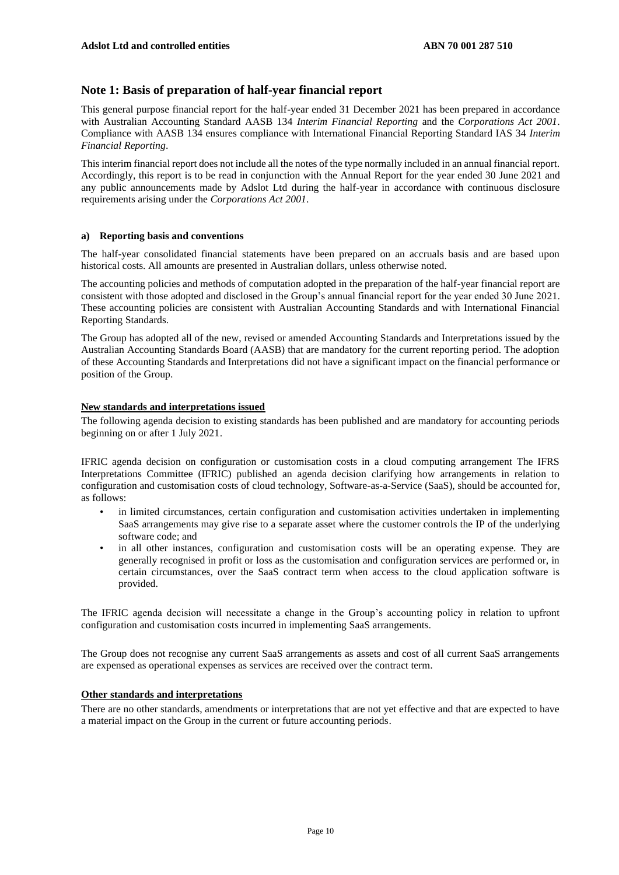### **Note 1: Basis of preparation of half-year financial report**

This general purpose financial report for the half-year ended 31 December 2021 has been prepared in accordance with Australian Accounting Standard AASB 134 *Interim Financial Reporting* and the *Corporations Act 2001*. Compliance with AASB 134 ensures compliance with International Financial Reporting Standard IAS 34 *Interim Financial Reporting*.

This interim financial report does not include all the notes of the type normally included in an annual financial report. Accordingly, this report is to be read in conjunction with the Annual Report for the year ended 30 June 2021 and any public announcements made by Adslot Ltd during the half-year in accordance with continuous disclosure requirements arising under the *Corporations Act 2001*.

#### **a) Reporting basis and conventions**

The half-year consolidated financial statements have been prepared on an accruals basis and are based upon historical costs. All amounts are presented in Australian dollars, unless otherwise noted.

The accounting policies and methods of computation adopted in the preparation of the half-year financial report are consistent with those adopted and disclosed in the Group's annual financial report for the year ended 30 June 2021. These accounting policies are consistent with Australian Accounting Standards and with International Financial Reporting Standards.

The Group has adopted all of the new, revised or amended Accounting Standards and Interpretations issued by the Australian Accounting Standards Board (AASB) that are mandatory for the current reporting period. The adoption of these Accounting Standards and Interpretations did not have a significant impact on the financial performance or position of the Group.

#### **New standards and interpretations issued**

The following agenda decision to existing standards has been published and are mandatory for accounting periods beginning on or after 1 July 2021.

IFRIC agenda decision on configuration or customisation costs in a cloud computing arrangement The IFRS Interpretations Committee (IFRIC) published an agenda decision clarifying how arrangements in relation to configuration and customisation costs of cloud technology, Software-as-a-Service (SaaS), should be accounted for, as follows:

- in limited circumstances, certain configuration and customisation activities undertaken in implementing SaaS arrangements may give rise to a separate asset where the customer controls the IP of the underlying software code; and
- in all other instances, configuration and customisation costs will be an operating expense. They are generally recognised in profit or loss as the customisation and configuration services are performed or, in certain circumstances, over the SaaS contract term when access to the cloud application software is provided.

The IFRIC agenda decision will necessitate a change in the Group's accounting policy in relation to upfront configuration and customisation costs incurred in implementing SaaS arrangements.

The Group does not recognise any current SaaS arrangements as assets and cost of all current SaaS arrangements are expensed as operational expenses as services are received over the contract term.

#### **Other standards and interpretations**

There are no other standards, amendments or interpretations that are not yet effective and that are expected to have a material impact on the Group in the current or future accounting periods.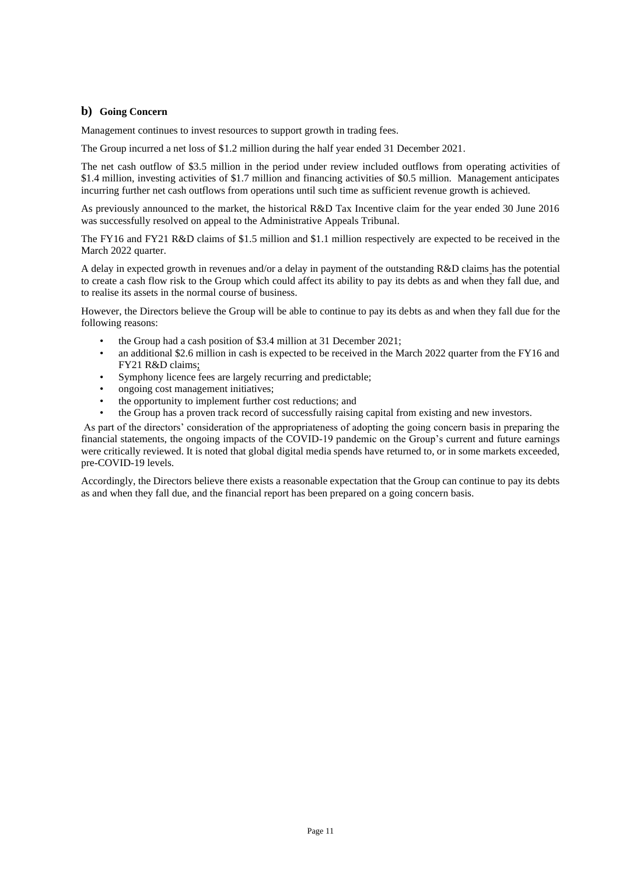#### **b) Going Concern**

Management continues to invest resources to support growth in trading fees.

The Group incurred a net loss of \$1.2 million during the half year ended 31 December 2021.

The net cash outflow of \$3.5 million in the period under review included outflows from operating activities of \$1.4 million, investing activities of \$1.7 million and financing activities of \$0.5 million. Management anticipates incurring further net cash outflows from operations until such time as sufficient revenue growth is achieved.

As previously announced to the market, the historical R&D Tax Incentive claim for the year ended 30 June 2016 was successfully resolved on appeal to the Administrative Appeals Tribunal.

The FY16 and FY21 R&D claims of \$1.5 million and \$1.1 million respectively are expected to be received in the March 2022 quarter.

A delay in expected growth in revenues and/or a delay in payment of the outstanding R&D claims has the potential to create a cash flow risk to the Group which could affect its ability to pay its debts as and when they fall due, and to realise its assets in the normal course of business.

However, the Directors believe the Group will be able to continue to pay its debts as and when they fall due for the following reasons:

- the Group had a cash position of \$3.4 million at 31 December 2021;
- an additional \$2.6 million in cash is expected to be received in the March 2022 quarter from the FY16 and FY21 R&D claims;
- Symphony licence fees are largely recurring and predictable;
- ongoing cost management initiatives;
- the opportunity to implement further cost reductions; and
- the Group has a proven track record of successfully raising capital from existing and new investors.

As part of the directors' consideration of the appropriateness of adopting the going concern basis in preparing the financial statements, the ongoing impacts of the COVID-19 pandemic on the Group's current and future earnings were critically reviewed. It is noted that global digital media spends have returned to, or in some markets exceeded, pre-COVID-19 levels.

Accordingly, the Directors believe there exists a reasonable expectation that the Group can continue to pay its debts as and when they fall due, and the financial report has been prepared on a going concern basis.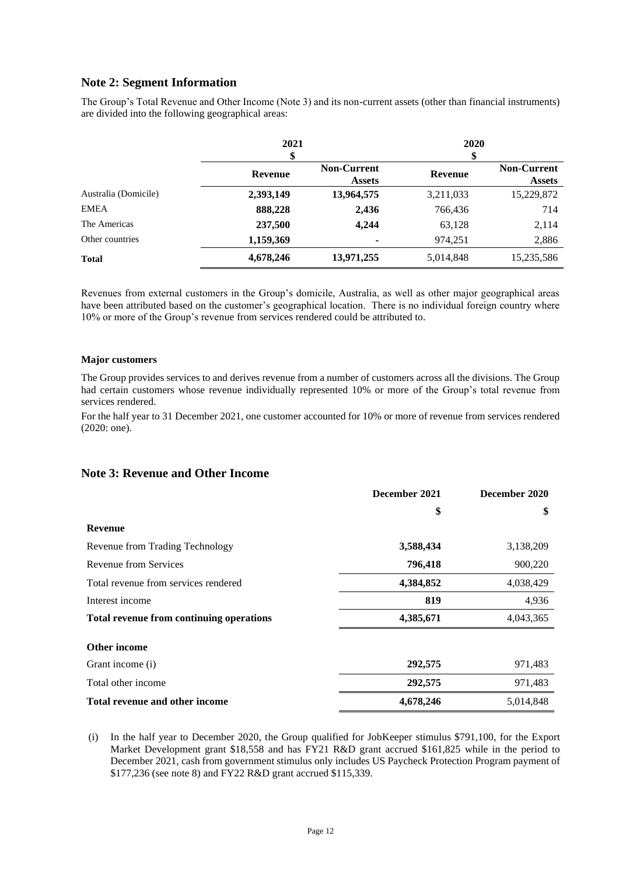## **Note 2: Segment Information**

The Group's Total Revenue and Other Income (Note 3) and its non-current assets (other than financial instruments) are divided into the following geographical areas:

|                      | 2021<br>\$     |                                     | 2020<br>\$     |                                     |
|----------------------|----------------|-------------------------------------|----------------|-------------------------------------|
|                      | <b>Revenue</b> | <b>Non-Current</b><br><b>Assets</b> | <b>Revenue</b> | <b>Non-Current</b><br><b>Assets</b> |
| Australia (Domicile) | 2,393,149      | 13,964,575                          | 3,211,033      | 15,229,872                          |
| <b>EMEA</b>          | 888,228        | 2,436                               | 766,436        | 714                                 |
| The Americas         | 237,500        | 4,244                               | 63,128         | 2,114                               |
| Other countries      | 1,159,369      |                                     | 974,251        | 2,886                               |
| <b>Total</b>         | 4,678,246      | 13,971,255                          | 5,014,848      | 15,235,586                          |

Revenues from external customers in the Group's domicile, Australia, as well as other major geographical areas have been attributed based on the customer's geographical location. There is no individual foreign country where 10% or more of the Group's revenue from services rendered could be attributed to.

#### **Major customers**

The Group provides services to and derives revenue from a number of customers across all the divisions. The Group had certain customers whose revenue individually represented 10% or more of the Group's total revenue from services rendered.

For the half year to 31 December 2021, one customer accounted for 10% or more of revenue from services rendered (2020: one).

#### **Note 3: Revenue and Other Income**

|                                          | December 2021 | December 2020 |
|------------------------------------------|---------------|---------------|
|                                          | \$            | \$            |
| <b>Revenue</b>                           |               |               |
| Revenue from Trading Technology          | 3,588,434     | 3,138,209     |
| Revenue from Services                    | 796,418       | 900,220       |
| Total revenue from services rendered     | 4,384,852     | 4,038,429     |
| Interest income                          | 819           | 4,936         |
| Total revenue from continuing operations | 4,385,671     | 4,043,365     |
| <b>Other income</b>                      |               |               |
| Grant income (i)                         | 292,575       | 971,483       |
| Total other income                       | 292,575       | 971,483       |
| Total revenue and other income           | 4,678,246     | 5,014,848     |

(i) In the half year to December 2020, the Group qualified for JobKeeper stimulus \$791,100, for the Export Market Development grant \$18,558 and has FY21 R&D grant accrued \$161,825 while in the period to December 2021, cash from government stimulus only includes US Paycheck Protection Program payment of \$177,236 (see note 8) and FY22 R&D grant accrued \$115,339.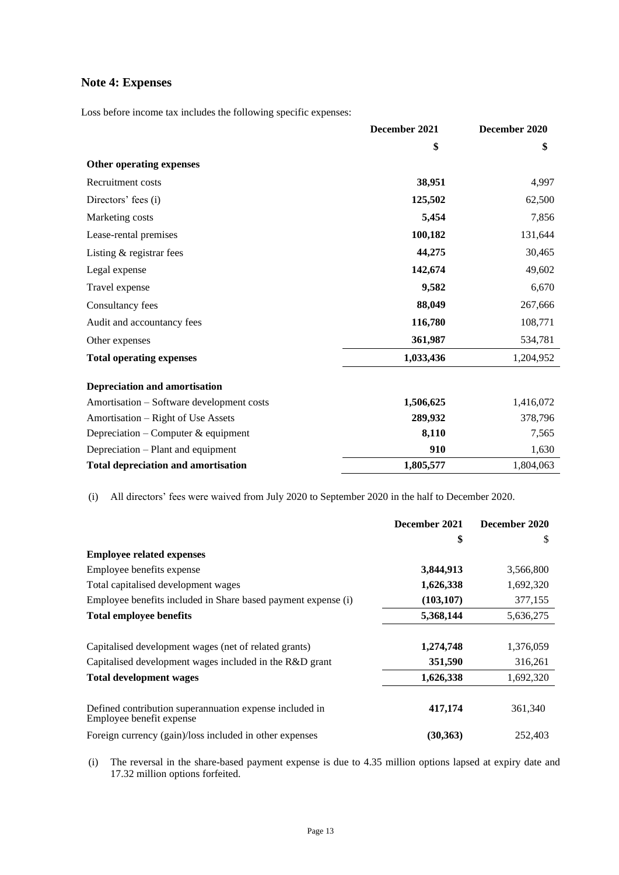## **Note 4: Expenses**

Loss before income tax includes the following specific expenses:

|                                            | December 2021 | December 2020 |
|--------------------------------------------|---------------|---------------|
|                                            | \$            | \$            |
| Other operating expenses                   |               |               |
| Recruitment costs                          | 38,951        | 4,997         |
| Directors' fees (i)                        | 125,502       | 62,500        |
| Marketing costs                            | 5,454         | 7,856         |
| Lease-rental premises                      | 100,182       | 131,644       |
| Listing & registrar fees                   | 44,275        | 30,465        |
| Legal expense                              | 142,674       | 49,602        |
| Travel expense                             | 9,582         | 6,670         |
| Consultancy fees                           | 88,049        | 267,666       |
| Audit and accountancy fees                 | 116,780       | 108,771       |
| Other expenses                             | 361,987       | 534,781       |
| <b>Total operating expenses</b>            | 1,033,436     | 1,204,952     |
| <b>Depreciation and amortisation</b>       |               |               |
| Amortisation – Software development costs  | 1,506,625     | 1,416,072     |
| Amortisation – Right of Use Assets         | 289,932       | 378,796       |
| Depreciation – Computer & equipment        | 8,110         | 7,565         |
| Depreciation – Plant and equipment         | 910           | 1,630         |
| <b>Total depreciation and amortisation</b> | 1,805,577     | 1,804,063     |

(i) All directors' fees were waived from July 2020 to September 2020 in the half to December 2020.

|                                                                                     | December 2021 | December 2020 |
|-------------------------------------------------------------------------------------|---------------|---------------|
|                                                                                     | \$            | S             |
| <b>Employee related expenses</b>                                                    |               |               |
| Employee benefits expense                                                           | 3,844,913     | 3,566,800     |
| Total capitalised development wages                                                 | 1,626,338     | 1,692,320     |
| Employee benefits included in Share based payment expense (i)                       | (103, 107)    | 377,155       |
| <b>Total employee benefits</b>                                                      | 5,368,144     | 5,636,275     |
| Capitalised development wages (net of related grants)                               | 1,274,748     | 1,376,059     |
| Capitalised development wages included in the R&D grant                             | 351,590       | 316,261       |
| <b>Total development wages</b>                                                      | 1,626,338     | 1,692,320     |
| Defined contribution superannuation expense included in<br>Employee benefit expense | 417,174       | 361,340       |
| Foreign currency (gain)/loss included in other expenses                             | (30, 363)     | 252,403       |

(i) The reversal in the share-based payment expense is due to 4.35 million options lapsed at expiry date and 17.32 million options forfeited.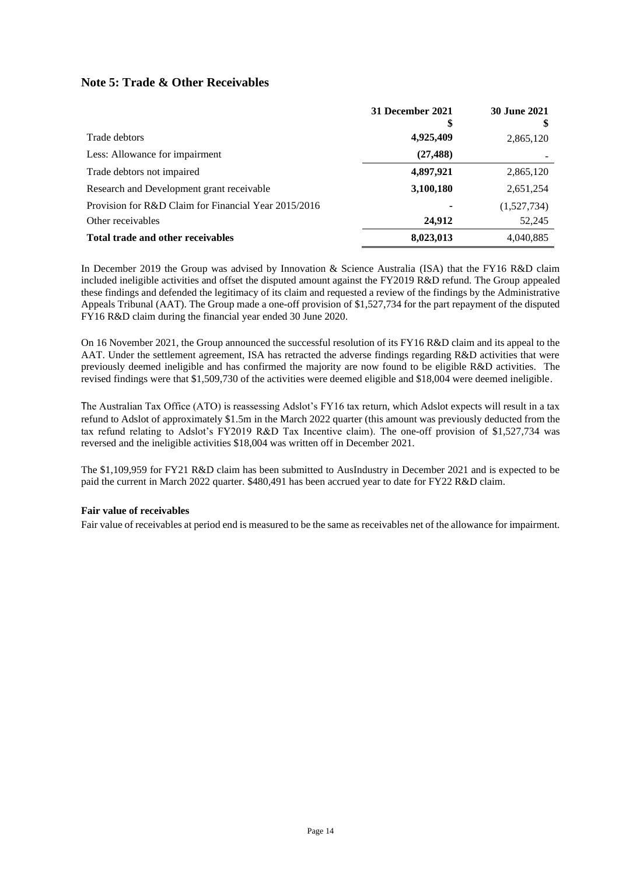## **Note 5: Trade & Other Receivables**

|                                                      | 31 December 2021<br>S, | <b>30 June 2021</b> |
|------------------------------------------------------|------------------------|---------------------|
| Trade debtors                                        | 4,925,409              | 2,865,120           |
| Less: Allowance for impairment                       | (27, 488)              |                     |
| Trade debtors not impaired                           | 4,897,921              | 2,865,120           |
| Research and Development grant receivable            | 3,100,180              | 2,651,254           |
| Provision for R&D Claim for Financial Year 2015/2016 | ۰                      | (1,527,734)         |
| Other receivables                                    | 24,912                 | 52,245              |
| Total trade and other receivables                    | 8,023,013              | 4,040,885           |

In December 2019 the Group was advised by Innovation & Science Australia (ISA) that the FY16 R&D claim included ineligible activities and offset the disputed amount against the FY2019 R&D refund. The Group appealed these findings and defended the legitimacy of its claim and requested a review of the findings by the Administrative Appeals Tribunal (AAT). The Group made a one-off provision of \$1,527,734 for the part repayment of the disputed FY16 R&D claim during the financial year ended 30 June 2020.

On 16 November 2021, the Group announced the successful resolution of its FY16 R&D claim and its appeal to the AAT. Under the settlement agreement, ISA has retracted the adverse findings regarding R&D activities that were previously deemed ineligible and has confirmed the majority are now found to be eligible R&D activities. The revised findings were that \$1,509,730 of the activities were deemed eligible and \$18,004 were deemed ineligible.

The Australian Tax Office (ATO) is reassessing Adslot's FY16 tax return, which Adslot expects will result in a tax refund to Adslot of approximately \$1.5m in the March 2022 quarter (this amount was previously deducted from the tax refund relating to Adslot's FY2019 R&D Tax Incentive claim). The one-off provision of \$1,527,734 was reversed and the ineligible activities \$18,004 was written off in December 2021.

The \$1,109,959 for FY21 R&D claim has been submitted to AusIndustry in December 2021 and is expected to be paid the current in March 2022 quarter. \$480,491 has been accrued year to date for FY22 R&D claim.

#### **Fair value of receivables**

Fair value of receivables at period end is measured to be the same as receivables net of the allowance for impairment.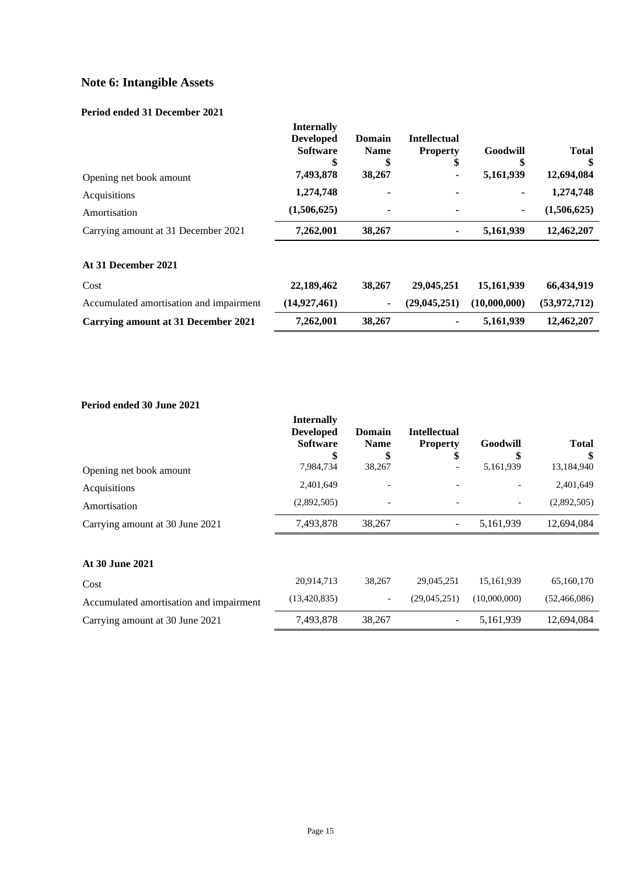# **Note 6: Intangible Assets**

#### **Period ended 31 December 2021**

| Opening net book amount                 | <b>Internally</b><br><b>Developed</b><br><b>Software</b><br>\$<br>7,493,878 | <b>Domain</b><br><b>Name</b><br>\$<br>38,267 | <b>Intellectual</b><br><b>Property</b><br>\$ | Goodwill<br>\$<br>5,161,939 | <b>Total</b><br>12,694,084 |
|-----------------------------------------|-----------------------------------------------------------------------------|----------------------------------------------|----------------------------------------------|-----------------------------|----------------------------|
| Acquisitions                            | 1,274,748                                                                   | ۰                                            | ۰                                            | ٠                           | 1,274,748                  |
| Amortisation                            | (1,506,625)                                                                 | ۰                                            |                                              | ۰.                          | (1,506,625)                |
| Carrying amount at 31 December 2021     | 7,262,001                                                                   | 38,267                                       | ۰                                            | 5,161,939                   | 12,462,207                 |
| At 31 December 2021                     |                                                                             |                                              |                                              |                             |                            |
| Cost                                    | 22,189,462                                                                  | 38,267                                       | 29,045,251                                   | 15,161,939                  | 66,434,919                 |
| Accumulated amortisation and impairment | (14, 927, 461)                                                              | $\blacksquare$                               | (29, 045, 251)                               | (10,000,000)                | (53,972,712)               |
| Carrying amount at 31 December 2021     | 7,262,001                                                                   | 38,267                                       |                                              | 5,161,939                   | 12,462,207                 |

## **Period ended 30 June 2021**

|                                         | <b>Internally</b><br><b>Developed</b><br><b>Software</b><br>\$ | Domain<br><b>Name</b><br>Ъ | <b>Intellectual</b><br><b>Property</b><br>ъ | Goodwill<br>S | <b>Total</b>   |
|-----------------------------------------|----------------------------------------------------------------|----------------------------|---------------------------------------------|---------------|----------------|
| Opening net book amount                 | 7,984,734                                                      | 38,267                     |                                             | 5,161,939     | 13,184,940     |
| Acquisitions                            | 2,401,649                                                      |                            |                                             |               | 2,401,649      |
| Amortisation                            | (2,892,505)                                                    |                            |                                             |               | (2,892,505)    |
| Carrying amount at 30 June 2021         | 7,493,878                                                      | 38,267                     | $\overline{\phantom{a}}$                    | 5,161,939     | 12,694,084     |
|                                         |                                                                |                            |                                             |               |                |
| At 30 June 2021                         |                                                                |                            |                                             |               |                |
| Cost                                    | 20,914,713                                                     | 38,267                     | 29,045,251                                  | 15,161,939    | 65,160,170     |
| Accumulated amortisation and impairment | (13, 420, 835)                                                 | $\overline{\phantom{a}}$   | (29,045,251)                                | (10,000,000)  | (52, 466, 086) |
| Carrying amount at 30 June 2021         | 7,493,878                                                      | 38,267                     |                                             | 5,161,939     | 12,694,084     |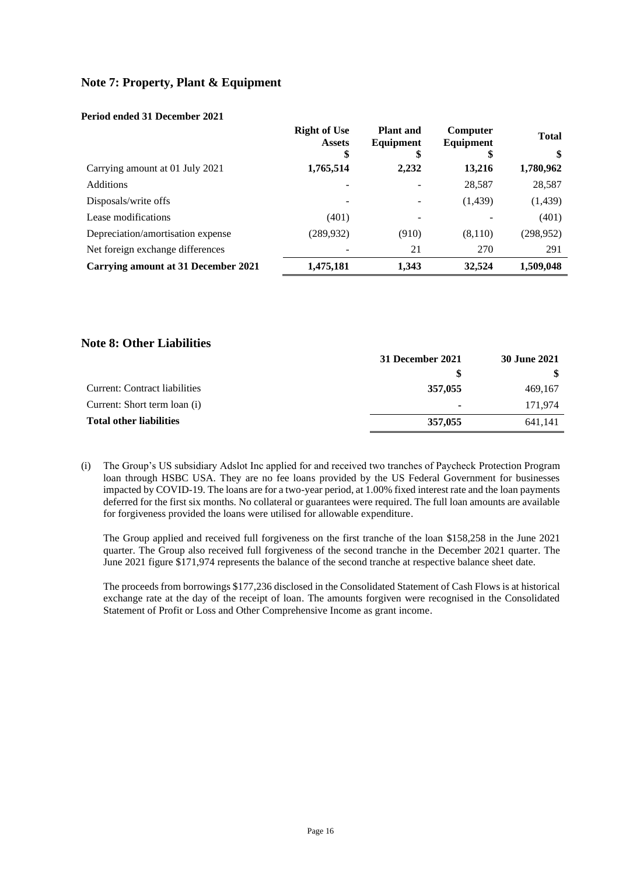## **Note 7: Property, Plant & Equipment**

#### **Period ended 31 December 2021**

|                                            | <b>Right of Use</b><br><b>Assets</b> | <b>Plant</b> and<br>Equipment | Computer<br>Equipment | <b>Total</b> |
|--------------------------------------------|--------------------------------------|-------------------------------|-----------------------|--------------|
|                                            | \$                                   | \$                            | S                     | \$           |
| Carrying amount at 01 July 2021            | 1,765,514                            | 2,232                         | 13,216                | 1,780,962    |
| <b>Additions</b>                           |                                      |                               | 28,587                | 28,587       |
| Disposals/write offs                       | -                                    |                               | (1,439)               | (1, 439)     |
| Lease modifications                        | (401)                                |                               |                       | (401)        |
| Depreciation/amortisation expense          | (289, 932)                           | (910)                         | (8,110)               | (298, 952)   |
| Net foreign exchange differences           |                                      | 21                            | 270                   | 291          |
| <b>Carrying amount at 31 December 2021</b> | 1,475,181                            | 1,343                         | 32,524                | 1,509,048    |

#### **Note 8: Other Liabilities**

| 31 December 2021 |         |
|------------------|---------|
| S                |         |
| 357,055          | 469,167 |
| ٠                | 171.974 |
| 357,055          | 641.141 |
|                  |         |

(i) The Group's US subsidiary Adslot Inc applied for and received two tranches of Paycheck Protection Program loan through HSBC USA. They are no fee loans provided by the US Federal Government for businesses impacted by COVID-19. The loans are for a two-year period, at 1.00% fixed interest rate and the loan payments deferred for the first six months. No collateral or guarantees were required. The full loan amounts are available for forgiveness provided the loans were utilised for allowable expenditure.

The Group applied and received full forgiveness on the first tranche of the loan \$158,258 in the June 2021 quarter. The Group also received full forgiveness of the second tranche in the December 2021 quarter. The June 2021 figure \$171,974 represents the balance of the second tranche at respective balance sheet date.

The proceeds from borrowings \$177,236 disclosed in the Consolidated Statement of Cash Flows is at historical exchange rate at the day of the receipt of loan. The amounts forgiven were recognised in the Consolidated Statement of Profit or Loss and Other Comprehensive Income as grant income.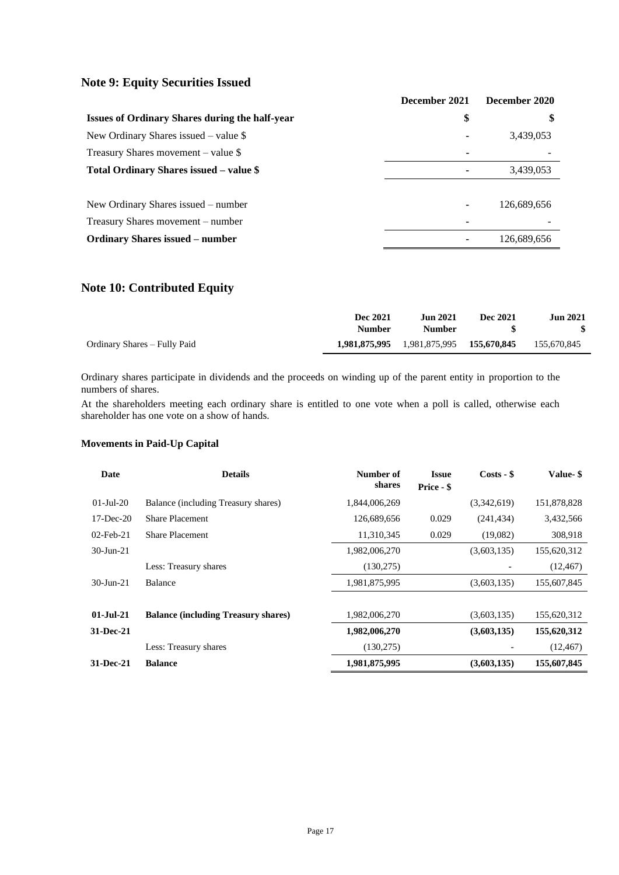## **Note 9: Equity Securities Issued**

|                                                       | December 2021 | December 2020 |
|-------------------------------------------------------|---------------|---------------|
| <b>Issues of Ordinary Shares during the half-year</b> | \$            | \$            |
| New Ordinary Shares issued $-$ value \$               |               | 3,439,053     |
| Treasury Shares movement – value \$                   |               |               |
| Total Ordinary Shares issued - value \$               |               | 3,439,053     |
|                                                       |               |               |
| New Ordinary Shares issued – number                   | ۰             | 126,689,656   |
| Treasury Shares movement – number                     |               |               |
| <b>Ordinary Shares issued – number</b>                |               | 126,689,656   |

## **Note 10: Contributed Equity**

|                              | Dec 2021<br>Number | Jun 2021<br><b>Number</b>               | Dec 2021 | <b>Jun 2021</b><br>- \$ |
|------------------------------|--------------------|-----------------------------------------|----------|-------------------------|
| Ordinary Shares – Fully Paid |                    | 1,981,875,995 1,981,875,995 155,670,845 |          | 155,670,845             |

Ordinary shares participate in dividends and the proceeds on winding up of the parent entity in proportion to the numbers of shares.

At the shareholders meeting each ordinary share is entitled to one vote when a poll is called, otherwise each shareholder has one vote on a show of hands.

| Date            | <b>Details</b>                             | Number of<br>shares | <b>Issue</b><br>Price - \$ | $Costs - $$ | Value- \$   |
|-----------------|--------------------------------------------|---------------------|----------------------------|-------------|-------------|
| $01-Ju1-20$     | Balance (including Treasury shares)        | 1,844,006,269       |                            | (3,342,619) | 151,878,828 |
| $17 - Dec-20$   | <b>Share Placement</b>                     | 126,689,656         | 0.029                      | (241, 434)  | 3,432,566   |
| $02$ -Feb-21    | <b>Share Placement</b>                     | 11,310,345          | 0.029                      | (19,082)    | 308,918     |
| $30 - Jun - 21$ |                                            | 1,982,006,270       |                            | (3,603,135) | 155,620,312 |
|                 | Less: Treasury shares                      | (130,275)           |                            |             | (12, 467)   |
| $30$ -Jun-21    | <b>Balance</b>                             | 1,981,875,995       |                            | (3,603,135) | 155,607,845 |
|                 |                                            |                     |                            |             |             |
| $01 - Iul - 21$ | <b>Balance (including Treasury shares)</b> | 1,982,006,270       |                            | (3,603,135) | 155,620,312 |
| $31 - Dec-21$   |                                            | 1,982,006,270       |                            | (3,603,135) | 155,620,312 |
|                 | Less: Treasury shares                      | (130,275)           |                            |             | (12, 467)   |
| 31-Dec-21       | <b>Balance</b>                             | 1,981,875,995       |                            | (3,603,135) | 155,607,845 |

#### **Movements in Paid-Up Capital**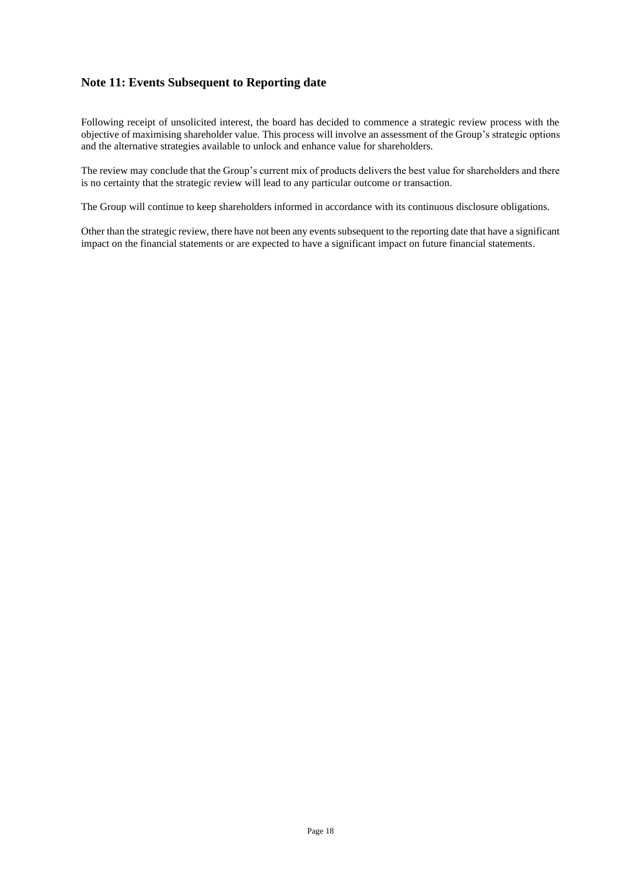## **Note 11: Events Subsequent to Reporting date**

Following receipt of unsolicited interest, the board has decided to commence a strategic review process with the objective of maximising shareholder value. This process will involve an assessment of the Group's strategic options and the alternative strategies available to unlock and enhance value for shareholders.

The review may conclude that the Group's current mix of products delivers the best value for shareholders and there is no certainty that the strategic review will lead to any particular outcome or transaction.

The Group will continue to keep shareholders informed in accordance with its continuous disclosure obligations.

Other than the strategic review, there have not been any events subsequent to the reporting date that have a significant impact on the financial statements or are expected to have a significant impact on future financial statements.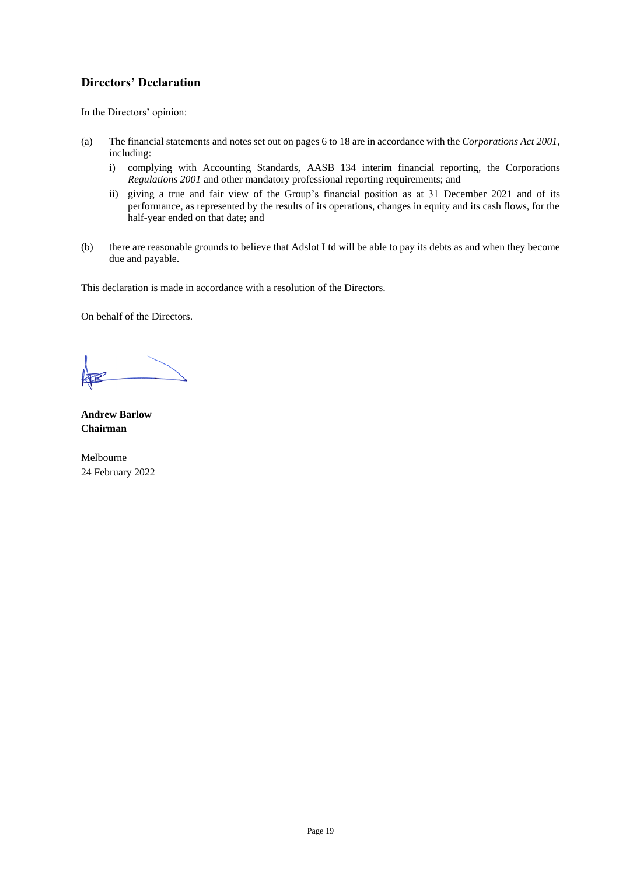## **Directors' Declaration**

In the Directors' opinion:

- (a) The financial statements and notes set out on pages 6 to 18 are in accordance with the *Corporations Act 2001*, including:
	- i) complying with Accounting Standards, AASB 134 interim financial reporting, the Corporations *Regulations 2001* and other mandatory professional reporting requirements; and
	- ii) giving a true and fair view of the Group's financial position as at 31 December 2021 and of its performance, as represented by the results of its operations, changes in equity and its cash flows, for the half-year ended on that date; and
- (b) there are reasonable grounds to believe that Adslot Ltd will be able to pay its debts as and when they become due and payable.

This declaration is made in accordance with a resolution of the Directors.

On behalf of the Directors.

**Andrew Barlow Chairman**

Melbourne 24 February 2022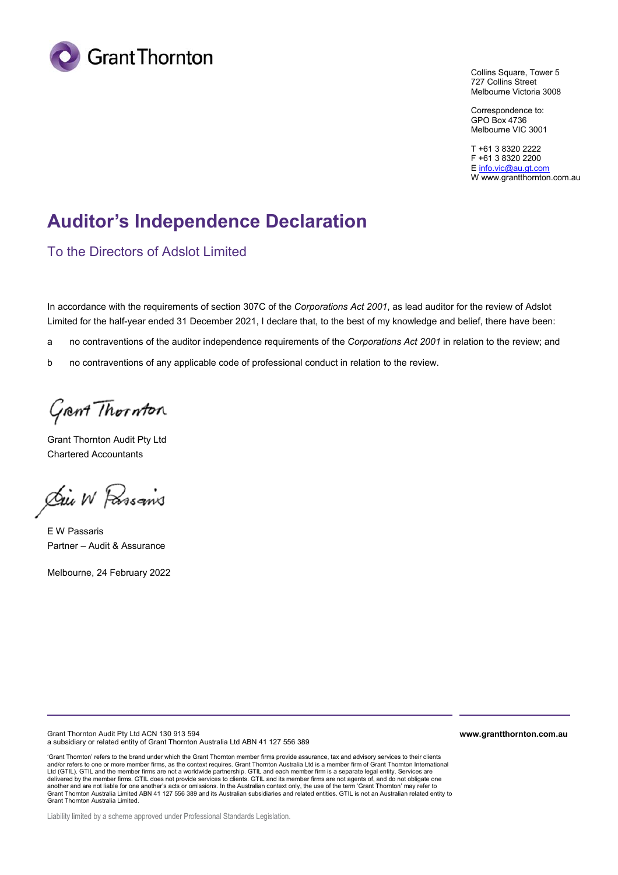

Collins Square, Tower 5 727 Collins Street Melbourne Victoria 3008

Correspondence to: GPO Box 4736 Melbourne VIC 3001

T +61 3 8320 2222 F +61 3 8320 2200 E info.vic@au.gt.com W www.grantthornton.com.au

# **Auditor's Independence Declaration**

To the Directors of Adslot Limited

In accordance with the requirements of section 307C of the *Corporations Act 2001*, as lead auditor for the review of Adslot Limited for the half-year ended 31 December 2021, I declare that, to the best of my knowledge and belief, there have been:

a no contraventions of the auditor independence requirements of the *Corporations Act 2001* in relation to the review; and

b no contraventions of any applicable code of professional conduct in relation to the review.

Grant Thornton

Grant Thornton Audit Pty Ltd Chartered Accountants

Die W Passans

E W Passaris Partner – Audit & Assurance

Melbourne, 24 February 2022

Grant Thornton Audit Pty Ltd ACN 130 913 594 a subsidiary or related entity of Grant Thornton Australia Ltd ABN 41 127 556 389

'Grant Thornton' refers to the brand under which the Grant Thornton member firms provide assurance, tax and advisory services to their clients<br>and/or refers to one or more member firms, as the context requires. Grant Thorn Ltd (GTIL). GTIL and the member firms are not a worldwide partnership. GTIL and each member firm is a separate legal entity. Services are delivered by the member firms. GTIL does not provide services to clients. GTIL and its member firms are not agents of, and do not obligate one another and are not liable for one another's acts or omissions. In the Australian context only, the use of the term 'Grant Thornton' may refer to<br>Grant Thornton Australia Limited ABN 41 127 556 389 and its Australian subsi Grant Thornton Australia Limited.

Liability limited by a scheme approved under Professional Standards Legislation.

**www.grantthornton.com.au**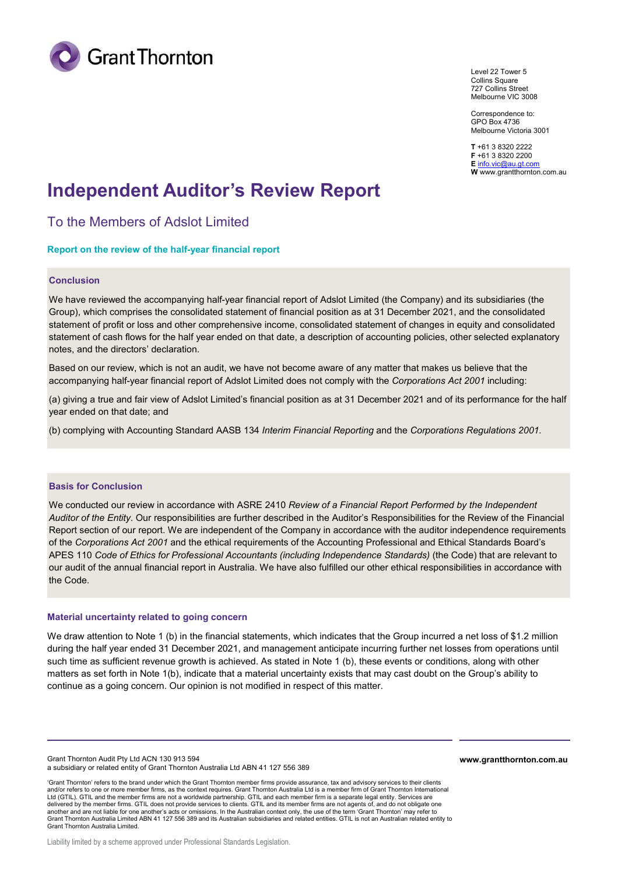

Level 22 Tower 5 Collins Square 727 Collins Street Melbourne VIC 3008

Correspondence to: GPO Box 4736 Melbourne Victoria 3001

**T** +61 3 8320 2222 **F** +61 3 8320 2200 **E** info.vic@au.gt.com **W** www.grantthornton.com.au

# **Independent Auditor's Review Report**

To the Members of Adslot Limited

#### **Report on the review of the half-year financial report**

#### **Conclusion**

We have reviewed the accompanying half-year financial report of Adslot Limited (the Company) and its subsidiaries (the Group), which comprises the consolidated statement of financial position as at 31 December 2021, and the consolidated statement of profit or loss and other comprehensive income, consolidated statement of changes in equity and consolidated statement of cash flows for the half year ended on that date, a description of accounting policies, other selected explanatory notes, and the directors' declaration.

Based on our review, which is not an audit, we have not become aware of any matter that makes us believe that the accompanying half-year financial report of Adslot Limited does not comply with the *Corporations Act 2001* including:

(a) giving a true and fair view of Adslot Limited's financial position as at 31 December 2021 and of its performance for the half year ended on that date; and

(b) complying with Accounting Standard AASB 134 *Interim Financial Reporting* and the *Corporations Regulations 2001.*

#### **Basis for Conclusion**

We conducted our review in accordance with ASRE 2410 *Review of a Financial Report Performed by the Independent Auditor of the Entity*. Our responsibilities are further described in the Auditor's Responsibilities for the Review of the Financial Report section of our report. We are independent of the Company in accordance with the auditor independence requirements of the *Corporations Act 2001* and the ethical requirements of the Accounting Professional and Ethical Standards Board's APES 110 *Code of Ethics for Professional Accountants (including Independence Standards)* (the Code) that are relevant to our audit of the annual financial report in Australia. We have also fulfilled our other ethical responsibilities in accordance with the Code.

#### **Material uncertainty related to going concern**

We draw attention to Note 1 (b) in the financial statements, which indicates that the Group incurred a net loss of \$1.2 million during the half year ended 31 December 2021, and management anticipate incurring further net losses from operations until such time as sufficient revenue growth is achieved. As stated in Note 1 (b), these events or conditions, along with other matters as set forth in Note 1(b), indicate that a material uncertainty exists that may cast doubt on the Group's ability to continue as a going concern. Our opinion is not modified in respect of this matter.

Grant Thornton Audit Pty Ltd ACN 130 913 594 a subsidiary or related entity of Grant Thornton Australia Ltd ABN 41 127 556 389 **www.grantthornton.com.au**

'Grant Thornton' refers to the brand under which the Grant Thornton member firms provide assurance, tax and advisory services to their clients and/or refers to one or more member firms, as the context requires. Grant Thornton Australia Ltd is a member firm of Grant Thornton International Ltd (GTIL). GTIL and the member firms are not a worldwide partnership. GTIL and each member firm is a separate legal entity. Services are delivered by the member firms. GTIL does not provide services to clients. GTIL and its member firms are not agents of, and do not obligate one another and are not liable for one another's acts or omissions. In the Australian context only, the use of the term 'Grant Thornton' may refer to Grant Thornton Australia Limited ABN 41 127 556 389 and its Australian subsidiaries and related entities. GTIL is not an Australian related entity to Grant Thornton Australia Limited.